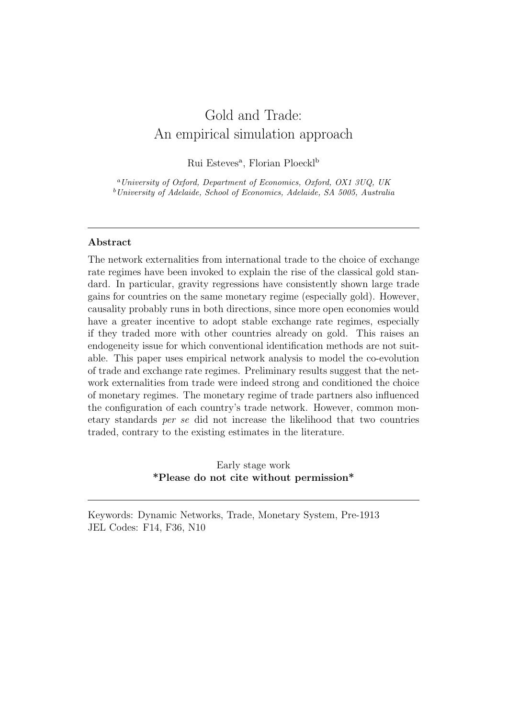# Gold and Trade: An empirical simulation approach

Rui Esteves<sup>a</sup>, Florian Ploeckl<sup>b</sup>

<sup>a</sup>University of Oxford, Department of Economics, Oxford, OX1 3UQ, UK  $b$ University of Adelaide, School of Economics, Adelaide, SA 5005, Australia

# Abstract

The network externalities from international trade to the choice of exchange rate regimes have been invoked to explain the rise of the classical gold standard. In particular, gravity regressions have consistently shown large trade gains for countries on the same monetary regime (especially gold). However, causality probably runs in both directions, since more open economies would have a greater incentive to adopt stable exchange rate regimes, especially if they traded more with other countries already on gold. This raises an endogeneity issue for which conventional identification methods are not suitable. This paper uses empirical network analysis to model the co-evolution of trade and exchange rate regimes. Preliminary results suggest that the network externalities from trade were indeed strong and conditioned the choice of monetary regimes. The monetary regime of trade partners also influenced the configuration of each country's trade network. However, common monetary standards per se did not increase the likelihood that two countries traded, contrary to the existing estimates in the literature.

> Early stage work \*Please do not cite without permission\*

Keywords: Dynamic Networks, Trade, Monetary System, Pre-1913 JEL Codes: F14, F36, N10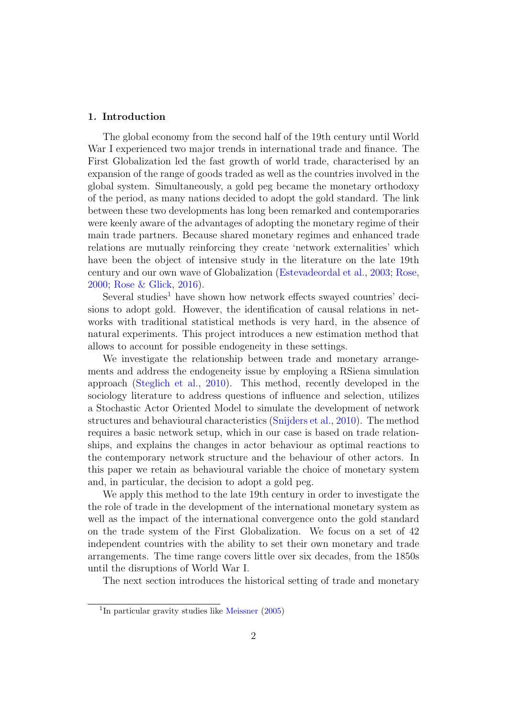# 1. Introduction

The global economy from the second half of the 19th century until World War I experienced two major trends in international trade and finance. The First Globalization led the fast growth of world trade, characterised by an expansion of the range of goods traded as well as the countries involved in the global system. Simultaneously, a gold peg became the monetary orthodoxy of the period, as many nations decided to adopt the gold standard. The link between these two developments has long been remarked and contemporaries were keenly aware of the advantages of adopting the monetary regime of their main trade partners. Because shared monetary regimes and enhanced trade relations are mutually reinforcing they create 'network externalities' which have been the object of intensive study in the literature on the late 19th century and our own wave of Globalization [\(Estevadeordal et al.,](#page-22-0) [2003;](#page-22-0) [Rose,](#page-25-0) [2000;](#page-25-0) [Rose & Glick,](#page-25-1) [2016\)](#page-25-1).

Several studies<sup>[1](#page-1-0)</sup> have shown how network effects swayed countries' decisions to adopt gold. However, the identification of causal relations in networks with traditional statistical methods is very hard, in the absence of natural experiments. This project introduces a new estimation method that allows to account for possible endogeneity in these settings.

We investigate the relationship between trade and monetary arrangements and address the endogeneity issue by employing a RSiena simulation approach [\(Steglich et al.,](#page-25-2) [2010\)](#page-25-2). This method, recently developed in the sociology literature to address questions of influence and selection, utilizes a Stochastic Actor Oriented Model to simulate the development of network structures and behavioural characteristics [\(Snijders et al.,](#page-25-3) [2010\)](#page-25-3). The method requires a basic network setup, which in our case is based on trade relationships, and explains the changes in actor behaviour as optimal reactions to the contemporary network structure and the behaviour of other actors. In this paper we retain as behavioural variable the choice of monetary system and, in particular, the decision to adopt a gold peg.

We apply this method to the late 19th century in order to investigate the the role of trade in the development of the international monetary system as well as the impact of the international convergence onto the gold standard on the trade system of the First Globalization. We focus on a set of 42 independent countries with the ability to set their own monetary and trade arrangements. The time range covers little over six decades, from the 1850s until the disruptions of World War I.

The next section introduces the historical setting of trade and monetary

<span id="page-1-0"></span><sup>&</sup>lt;sup>1</sup>In particular gravity studies like [Meissner](#page-24-0) [\(2005\)](#page-24-0)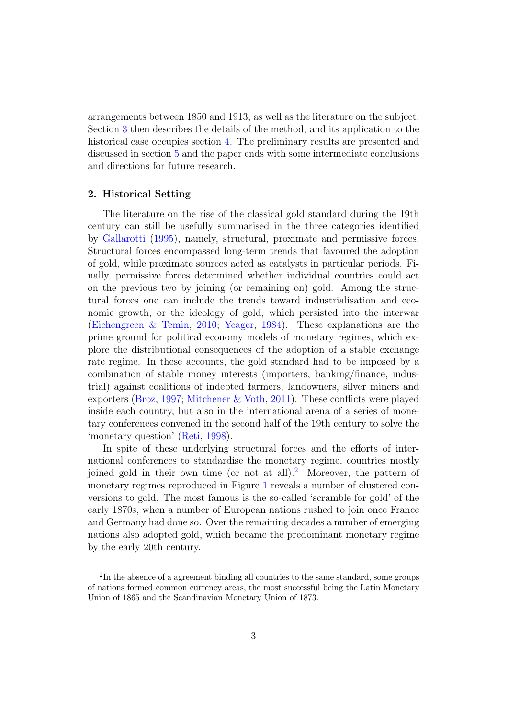arrangements between 1850 and 1913, as well as the literature on the subject. Section [3](#page-6-0) then describes the details of the method, and its application to the historical case occupies section [4.](#page-11-0) The preliminary results are presented and discussed in section [5](#page-17-0) and the paper ends with some intermediate conclusions and directions for future research.

# <span id="page-2-1"></span>2. Historical Setting

The literature on the rise of the classical gold standard during the 19th century can still be usefully summarised in the three categories identified by [Gallarotti](#page-23-0) [\(1995\)](#page-23-0), namely, structural, proximate and permissive forces. Structural forces encompassed long-term trends that favoured the adoption of gold, while proximate sources acted as catalysts in particular periods. Finally, permissive forces determined whether individual countries could act on the previous two by joining (or remaining on) gold. Among the structural forces one can include the trends toward industrialisation and economic growth, or the ideology of gold, which persisted into the interwar [\(Eichengreen & Temin,](#page-22-1) [2010;](#page-22-1) [Yeager,](#page-25-4) [1984\)](#page-25-4). These explanations are the prime ground for political economy models of monetary regimes, which explore the distributional consequences of the adoption of a stable exchange rate regime. In these accounts, the gold standard had to be imposed by a combination of stable money interests (importers, banking/finance, industrial) against coalitions of indebted farmers, landowners, silver miners and exporters [\(Broz,](#page-21-0) [1997;](#page-21-0) [Mitchener & Voth,](#page-24-1) [2011\)](#page-24-1). These conflicts were played inside each country, but also in the international arena of a series of monetary conferences convened in the second half of the 19th century to solve the 'monetary question' [\(Reti,](#page-24-2) [1998\)](#page-24-2).

In spite of these underlying structural forces and the efforts of international conferences to standardise the monetary regime, countries mostly joined gold in their own time (or not at all).[2](#page-2-0) Moreover, the pattern of monetary regimes reproduced in Figure [1](#page-28-0) reveals a number of clustered conversions to gold. The most famous is the so-called 'scramble for gold' of the early 1870s, when a number of European nations rushed to join once France and Germany had done so. Over the remaining decades a number of emerging nations also adopted gold, which became the predominant monetary regime by the early 20th century.

<span id="page-2-0"></span><sup>&</sup>lt;sup>2</sup>In the absence of a agreement binding all countries to the same standard, some groups of nations formed common currency areas, the most successful being the Latin Monetary Union of 1865 and the Scandinavian Monetary Union of 1873.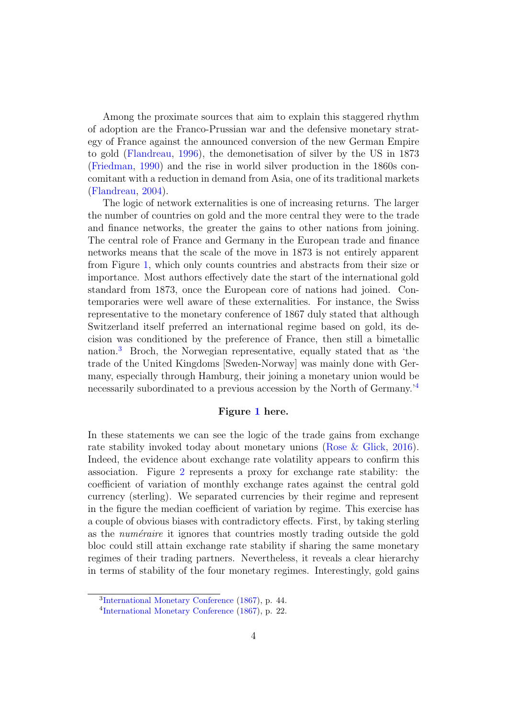Among the proximate sources that aim to explain this staggered rhythm of adoption are the Franco-Prussian war and the defensive monetary strategy of France against the announced conversion of the new German Empire to gold [\(Flandreau,](#page-22-2) [1996\)](#page-22-2), the demonetisation of silver by the US in 1873 [\(Friedman,](#page-23-1) [1990\)](#page-23-1) and the rise in world silver production in the 1860s concomitant with a reduction in demand from Asia, one of its traditional markets [\(Flandreau,](#page-22-3) [2004\)](#page-22-3).

The logic of network externalities is one of increasing returns. The larger the number of countries on gold and the more central they were to the trade and finance networks, the greater the gains to other nations from joining. The central role of France and Germany in the European trade and finance networks means that the scale of the move in 1873 is not entirely apparent from Figure [1,](#page-28-0) which only counts countries and abstracts from their size or importance. Most authors effectively date the start of the international gold standard from 1873, once the European core of nations had joined. Contemporaries were well aware of these externalities. For instance, the Swiss representative to the monetary conference of 1867 duly stated that although Switzerland itself preferred an international regime based on gold, its decision was conditioned by the preference of France, then still a bimetallic nation.[3](#page-3-0) Broch, the Norwegian representative, equally stated that as 'the trade of the United Kingdoms [Sweden-Norway] was mainly done with Germany, especially through Hamburg, their joining a monetary union would be necessarily subordinated to a previous accession by the North of Germany.'[4](#page-3-1)

# Figure [1](#page-28-0) here.

In these statements we can see the logic of the trade gains from exchange rate stability invoked today about monetary unions [\(Rose & Glick,](#page-25-1) [2016\)](#page-25-1). Indeed, the evidence about exchange rate volatility appears to confirm this association. Figure [2](#page-28-1) represents a proxy for exchange rate stability: the coefficient of variation of monthly exchange rates against the central gold currency (sterling). We separated currencies by their regime and represent in the figure the median coefficient of variation by regime. This exercise has a couple of obvious biases with contradictory effects. First, by taking sterling as the *numéraire* it ignores that countries mostly trading outside the gold bloc could still attain exchange rate stability if sharing the same monetary regimes of their trading partners. Nevertheless, it reveals a clear hierarchy in terms of stability of the four monetary regimes. Interestingly, gold gains

<span id="page-3-0"></span><sup>3</sup> [International Monetary Conference](#page-23-2) [\(1867\)](#page-23-2), p. 44.

<span id="page-3-1"></span><sup>4</sup> [International Monetary Conference](#page-23-2) [\(1867\)](#page-23-2), p. 22.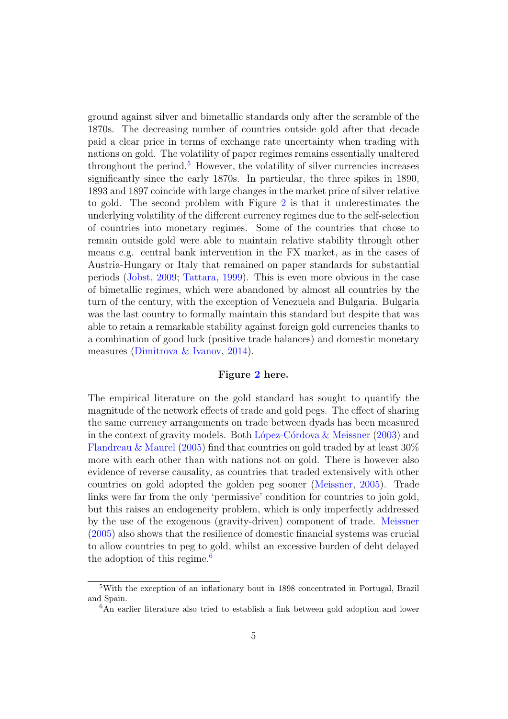ground against silver and bimetallic standards only after the scramble of the 1870s. The decreasing number of countries outside gold after that decade paid a clear price in terms of exchange rate uncertainty when trading with nations on gold. The volatility of paper regimes remains essentially unaltered throughout the period.<sup>[5](#page-4-0)</sup> However, the volatility of silver currencies increases significantly since the early 1870s. In particular, the three spikes in 1890, 1893 and 1897 coincide with large changes in the market price of silver relative to gold. The second problem with Figure [2](#page-28-1) is that it underestimates the underlying volatility of the different currency regimes due to the self-selection of countries into monetary regimes. Some of the countries that chose to remain outside gold were able to maintain relative stability through other means e.g. central bank intervention in the FX market, as in the cases of Austria-Hungary or Italy that remained on paper standards for substantial periods [\(Jobst,](#page-23-3) [2009;](#page-23-3) [Tattara,](#page-25-5) [1999\)](#page-25-5). This is even more obvious in the case of bimetallic regimes, which were abandoned by almost all countries by the turn of the century, with the exception of Venezuela and Bulgaria. Bulgaria was the last country to formally maintain this standard but despite that was able to retain a remarkable stability against foreign gold currencies thanks to a combination of good luck (positive trade balances) and domestic monetary measures [\(Dimitrova & Ivanov,](#page-22-4) [2014\)](#page-22-4).

## Figure [2](#page-28-1) here.

The empirical literature on the gold standard has sought to quantify the magnitude of the network effects of trade and gold pegs. The effect of sharing the same currency arrangements on trade between dyads has been measured in the context of gravity models. Both López-Córdova  $\&$  Meissner [\(2003\)](#page-23-4) and [Flandreau & Maurel](#page-23-5) [\(2005\)](#page-23-5) find that countries on gold traded by at least 30% more with each other than with nations not on gold. There is however also evidence of reverse causality, as countries that traded extensively with other countries on gold adopted the golden peg sooner [\(Meissner,](#page-24-0) [2005\)](#page-24-0). Trade links were far from the only 'permissive' condition for countries to join gold, but this raises an endogeneity problem, which is only imperfectly addressed by the use of the exogenous (gravity-driven) component of trade. [Meissner](#page-24-0) [\(2005\)](#page-24-0) also shows that the resilience of domestic financial systems was crucial to allow countries to peg to gold, whilst an excessive burden of debt delayed the adoption of this regime.<sup>[6](#page-4-1)</sup>

<span id="page-4-0"></span><sup>5</sup>With the exception of an inflationary bout in 1898 concentrated in Portugal, Brazil and Spain.

<span id="page-4-1"></span><sup>6</sup>An earlier literature also tried to establish a link between gold adoption and lower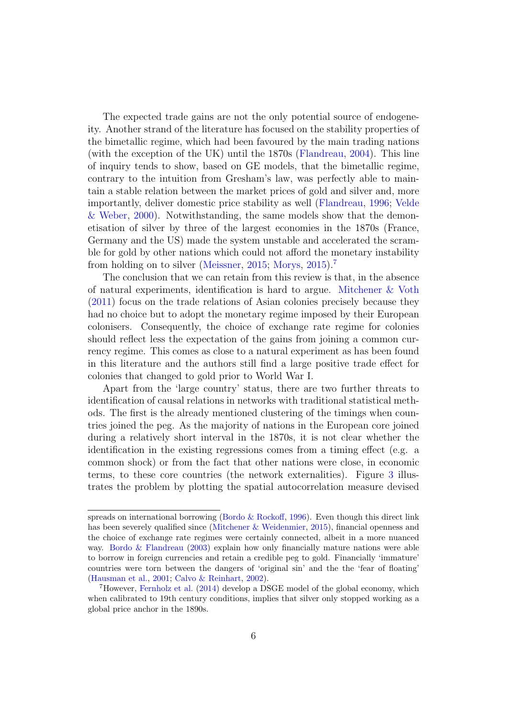The expected trade gains are not the only potential source of endogeneity. Another strand of the literature has focused on the stability properties of the bimetallic regime, which had been favoured by the main trading nations (with the exception of the UK) until the 1870s [\(Flandreau,](#page-22-3) [2004\)](#page-22-3). This line of inquiry tends to show, based on GE models, that the bimetallic regime, contrary to the intuition from Gresham's law, was perfectly able to maintain a stable relation between the market prices of gold and silver and, more importantly, deliver domestic price stability as well [\(Flandreau,](#page-22-2) [1996;](#page-22-2) [Velde](#page-25-6) [& Weber,](#page-25-6) [2000\)](#page-25-6). Notwithstanding, the same models show that the demonetisation of silver by three of the largest economies in the 1870s (France, Germany and the US) made the system unstable and accelerated the scramble for gold by other nations which could not afford the monetary instability from holding on to silver [\(Meissner,](#page-24-3) [2015;](#page-24-3) [Morys,](#page-24-4) [2015\)](#page-24-4).[7](#page-5-0)

The conclusion that we can retain from this review is that, in the absence of natural experiments, identification is hard to argue. [Mitchener & Voth](#page-24-1) [\(2011\)](#page-24-1) focus on the trade relations of Asian colonies precisely because they had no choice but to adopt the monetary regime imposed by their European colonisers. Consequently, the choice of exchange rate regime for colonies should reflect less the expectation of the gains from joining a common currency regime. This comes as close to a natural experiment as has been found in this literature and the authors still find a large positive trade effect for colonies that changed to gold prior to World War I.

Apart from the 'large country' status, there are two further threats to identification of causal relations in networks with traditional statistical methods. The first is the already mentioned clustering of the timings when countries joined the peg. As the majority of nations in the European core joined during a relatively short interval in the 1870s, it is not clear whether the identification in the existing regressions comes from a timing effect (e.g. a common shock) or from the fact that other nations were close, in economic terms, to these core countries (the network externalities). Figure [3](#page-29-0) illustrates the problem by plotting the spatial autocorrelation measure devised

spreads on international borrowing [\(Bordo & Rockoff,](#page-21-1) [1996\)](#page-21-1). Even though this direct link has been severely qualified since [\(Mitchener & Weidenmier,](#page-24-5) [2015\)](#page-24-5), financial openness and the choice of exchange rate regimes were certainly connected, albeit in a more nuanced way. [Bordo & Flandreau](#page-21-2) [\(2003\)](#page-21-2) explain how only financially mature nations were able to borrow in foreign currencies and retain a credible peg to gold. Financially 'immature' countries were torn between the dangers of 'original sin' and the the 'fear of floating' [\(Hausman et al.,](#page-23-6) [2001;](#page-23-6) [Calvo & Reinhart,](#page-22-5) [2002\)](#page-22-5).

<span id="page-5-0"></span><sup>7</sup>However, [Fernholz et al.](#page-22-6) [\(2014\)](#page-22-6) develop a DSGE model of the global economy, which when calibrated to 19th century conditions, implies that silver only stopped working as a global price anchor in the 1890s.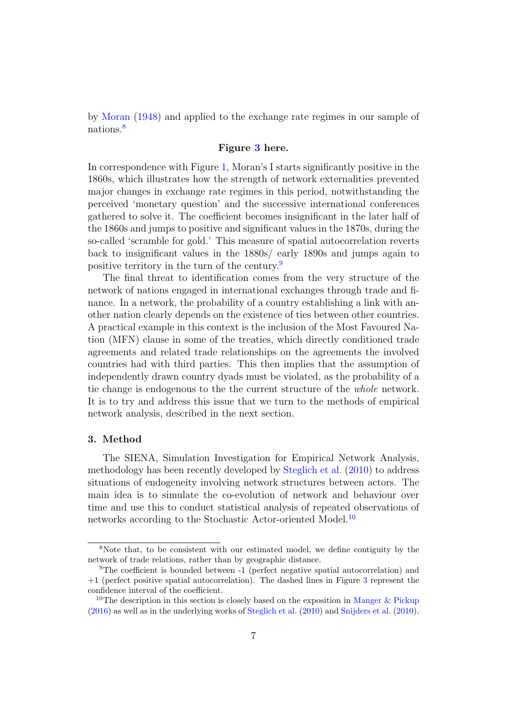by [Moran](#page-24-6) [\(1948\)](#page-24-6) and applied to the exchange rate regimes in our sample of nations.[8](#page-6-1)

# Figure [3](#page-29-0) here.

In correspondence with Figure [1,](#page-28-0) Moran's I starts significantly positive in the 1860s, which illustrates how the strength of network externalities prevented major changes in exchange rate regimes in this period, notwithstanding the perceived 'monetary question' and the successive international conferences gathered to solve it. The coefficient becomes insignificant in the later half of the 1860s and jumps to positive and significant values in the 1870s, during the so-called 'scramble for gold.' This measure of spatial autocorrelation reverts back to insignificant values in the 1880s/ early 1890s and jumps again to positive territory in the turn of the century.[9](#page-6-2)

The final threat to identification comes from the very structure of the network of nations engaged in international exchanges through trade and finance. In a network, the probability of a country establishing a link with another nation clearly depends on the existence of ties between other countries. A practical example in this context is the inclusion of the Most Favoured Nation (MFN) clause in some of the treaties, which directly conditioned trade agreements and related trade relationships on the agreements the involved countries had with third parties. This then implies that the assumption of independently drawn country dyads must be violated, as the probability of a tie change is endogenous to the the current structure of the whole network. It is to try and address this issue that we turn to the methods of empirical network analysis, described in the next section.

# <span id="page-6-0"></span>3. Method

The SIENA, Simulation Investigation for Empirical Network Analysis, methodology has been recently developed by [Steglich et al.](#page-25-2) [\(2010\)](#page-25-2) to address situations of endogeneity involving network structures between actors. The main idea is to simulate the co-evolution of network and behaviour over time and use this to conduct statistical analysis of repeated observations of networks according to the Stochastic Actor-oriented Model.[10](#page-6-3)

<span id="page-6-1"></span><sup>8</sup>Note that, to be consistent with our estimated model, we define contiguity by the network of trade relations, rather than by geographic distance.

<span id="page-6-2"></span><sup>9</sup>The coefficient is bounded between -1 (perfect negative spatial autocorrelation) and +1 (perfect positive spatial autocorrelation). The dashed lines in Figure [3](#page-29-0) represent the confidence interval of the coefficient.

<span id="page-6-3"></span><sup>&</sup>lt;sup>10</sup>The description in this section is closely based on the exposition in [Manger & Pickup](#page-23-7) [\(2016\)](#page-23-7) as well as in the underlying works of [Steglich et al.](#page-25-2) [\(2010\)](#page-25-2) and [Snijders et al.](#page-25-3) [\(2010\)](#page-25-3).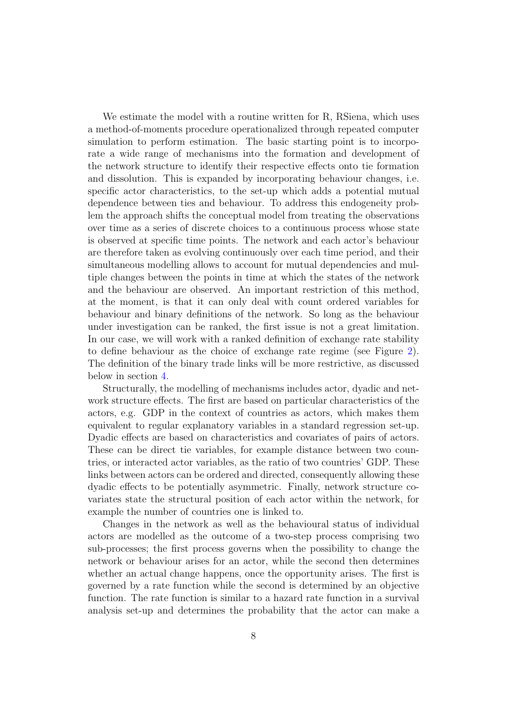We estimate the model with a routine written for R, RSiena, which uses a method-of-moments procedure operationalized through repeated computer simulation to perform estimation. The basic starting point is to incorporate a wide range of mechanisms into the formation and development of the network structure to identify their respective effects onto tie formation and dissolution. This is expanded by incorporating behaviour changes, i.e. specific actor characteristics, to the set-up which adds a potential mutual dependence between ties and behaviour. To address this endogeneity problem the approach shifts the conceptual model from treating the observations over time as a series of discrete choices to a continuous process whose state is observed at specific time points. The network and each actor's behaviour are therefore taken as evolving continuously over each time period, and their simultaneous modelling allows to account for mutual dependencies and multiple changes between the points in time at which the states of the network and the behaviour are observed. An important restriction of this method, at the moment, is that it can only deal with count ordered variables for behaviour and binary definitions of the network. So long as the behaviour under investigation can be ranked, the first issue is not a great limitation. In our case, we will work with a ranked definition of exchange rate stability to define behaviour as the choice of exchange rate regime (see Figure [2\)](#page-28-1). The definition of the binary trade links will be more restrictive, as discussed below in section [4.](#page-11-0)

Structurally, the modelling of mechanisms includes actor, dyadic and network structure effects. The first are based on particular characteristics of the actors, e.g. GDP in the context of countries as actors, which makes them equivalent to regular explanatory variables in a standard regression set-up. Dyadic effects are based on characteristics and covariates of pairs of actors. These can be direct tie variables, for example distance between two countries, or interacted actor variables, as the ratio of two countries' GDP. These links between actors can be ordered and directed, consequently allowing these dyadic effects to be potentially asymmetric. Finally, network structure covariates state the structural position of each actor within the network, for example the number of countries one is linked to.

Changes in the network as well as the behavioural status of individual actors are modelled as the outcome of a two-step process comprising two sub-processes; the first process governs when the possibility to change the network or behaviour arises for an actor, while the second then determines whether an actual change happens, once the opportunity arises. The first is governed by a rate function while the second is determined by an objective function. The rate function is similar to a hazard rate function in a survival analysis set-up and determines the probability that the actor can make a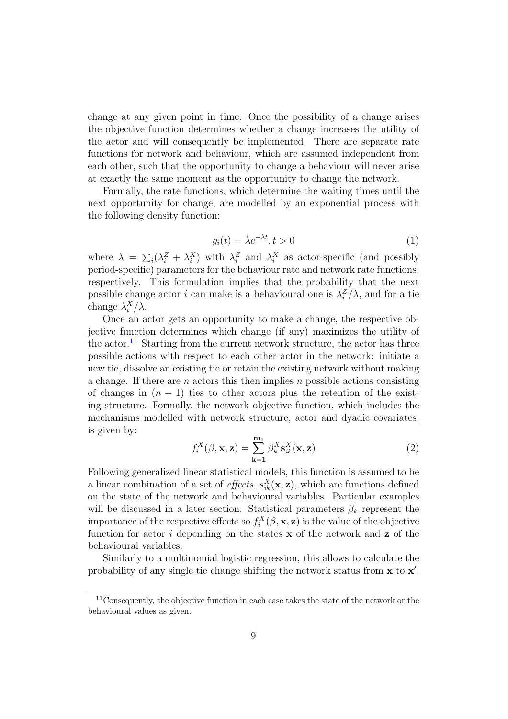change at any given point in time. Once the possibility of a change arises the objective function determines whether a change increases the utility of the actor and will consequently be implemented. There are separate rate functions for network and behaviour, which are assumed independent from each other, such that the opportunity to change a behaviour will never arise at exactly the same moment as the opportunity to change the network.

Formally, the rate functions, which determine the waiting times until the next opportunity for change, are modelled by an exponential process with the following density function:

$$
g_i(t) = \lambda e^{-\lambda t}, t > 0 \tag{1}
$$

where  $\lambda = \sum_i (\lambda_i^Z + \lambda_i^X)$  with  $\lambda_i^Z$  and  $\lambda_i^X$  as actor-specific (and possibly period-specific) parameters for the behaviour rate and network rate functions, respectively. This formulation implies that the probability that the next possible change actor *i* can make is a behavioural one is  $\lambda_i^Z/\lambda$ , and for a tie change  $\lambda_i^X/\lambda$ .

Once an actor gets an opportunity to make a change, the respective objective function determines which change (if any) maximizes the utility of the actor.<sup>[11](#page-8-0)</sup> Starting from the current network structure, the actor has three possible actions with respect to each other actor in the network: initiate a new tie, dissolve an existing tie or retain the existing network without making a change. If there are n actors this then implies n possible actions consisting of changes in  $(n - 1)$  ties to other actors plus the retention of the existing structure. Formally, the network objective function, which includes the mechanisms modelled with network structure, actor and dyadic covariates, is given by:

$$
f_i^X(\beta, \mathbf{x}, \mathbf{z}) = \sum_{k=1}^{m_1} \beta_k^X \mathbf{s}_{ik}^X(\mathbf{x}, \mathbf{z})
$$
 (2)

Following generalized linear statistical models, this function is assumed to be a linear combination of a set of *effects*,  $s_{ik}^X(\mathbf{x}, \mathbf{z})$ , which are functions defined on the state of the network and behavioural variables. Particular examples will be discussed in a later section. Statistical parameters  $\beta_k$  represent the importance of the respective effects so  $f_i^X(\beta, \mathbf{x}, \mathbf{z})$  is the value of the objective function for actor  $i$  depending on the states  $x$  of the network and  $z$  of the behavioural variables.

Similarly to a multinomial logistic regression, this allows to calculate the probability of any single tie change shifting the network status from  $x$  to  $x'$ .

<span id="page-8-0"></span><sup>&</sup>lt;sup>11</sup>Consequently, the objective function in each case takes the state of the network or the behavioural values as given.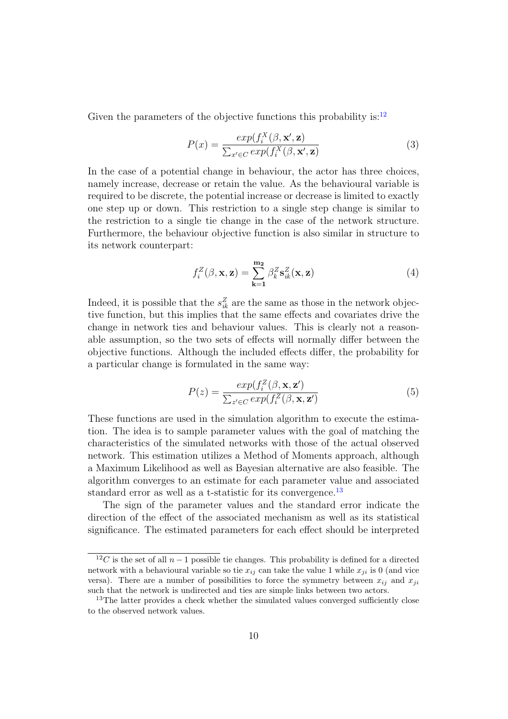Given the parameters of the objective functions this probability is:  $12$ 

$$
P(x) = \frac{\exp(f_i^X(\beta, \mathbf{x}', \mathbf{z})}{\sum_{x' \in C} \exp(f_i^X(\beta, \mathbf{x}', \mathbf{z})}
$$
(3)

In the case of a potential change in behaviour, the actor has three choices, namely increase, decrease or retain the value. As the behavioural variable is required to be discrete, the potential increase or decrease is limited to exactly one step up or down. This restriction to a single step change is similar to the restriction to a single tie change in the case of the network structure. Furthermore, the behaviour objective function is also similar in structure to its network counterpart:

$$
f_i^Z(\beta, \mathbf{x}, \mathbf{z}) = \sum_{k=1}^{m_2} \beta_k^Z \mathbf{s}_{ik}^Z(\mathbf{x}, \mathbf{z})
$$
(4)

Indeed, it is possible that the  $s_{ik}^Z$  are the same as those in the network objective function, but this implies that the same effects and covariates drive the change in network ties and behaviour values. This is clearly not a reasonable assumption, so the two sets of effects will normally differ between the objective functions. Although the included effects differ, the probability for a particular change is formulated in the same way:

$$
P(z) = \frac{\exp(f_i^Z(\beta, \mathbf{x}, \mathbf{z}')}{\sum_{z' \in C} \exp(f_i^Z(\beta, \mathbf{x}, \mathbf{z}')}\tag{5}
$$

These functions are used in the simulation algorithm to execute the estimation. The idea is to sample parameter values with the goal of matching the characteristics of the simulated networks with those of the actual observed network. This estimation utilizes a Method of Moments approach, although a Maximum Likelihood as well as Bayesian alternative are also feasible. The algorithm converges to an estimate for each parameter value and associated standard error as well as a t-statistic for its convergence.<sup>[13](#page-9-1)</sup>

The sign of the parameter values and the standard error indicate the direction of the effect of the associated mechanism as well as its statistical significance. The estimated parameters for each effect should be interpreted

<span id="page-9-0"></span> $12C$  is the set of all  $n-1$  possible tie changes. This probability is defined for a directed network with a behavioural variable so tie  $x_{ij}$  can take the value 1 while  $x_{ji}$  is 0 (and vice versa). There are a number of possibilities to force the symmetry between  $x_{ij}$  and  $x_{ji}$ such that the network is undirected and ties are simple links between two actors.

<span id="page-9-1"></span><sup>&</sup>lt;sup>13</sup>The latter provides a check whether the simulated values converged sufficiently close to the observed network values.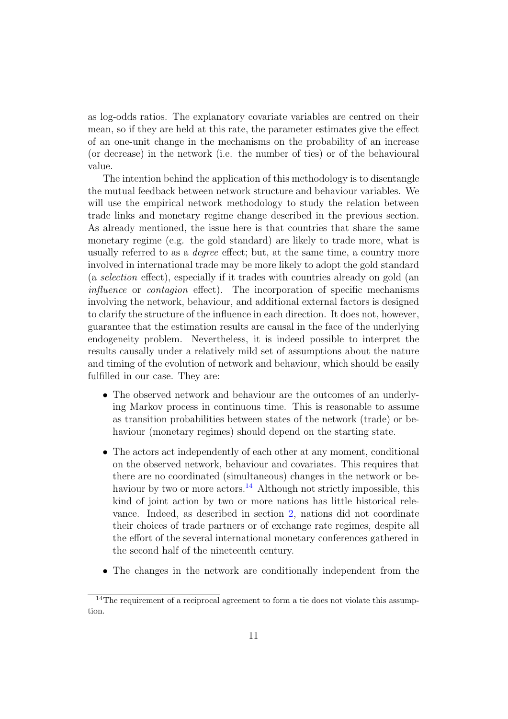as log-odds ratios. The explanatory covariate variables are centred on their mean, so if they are held at this rate, the parameter estimates give the effect of an one-unit change in the mechanisms on the probability of an increase (or decrease) in the network (i.e. the number of ties) or of the behavioural value.

The intention behind the application of this methodology is to disentangle the mutual feedback between network structure and behaviour variables. We will use the empirical network methodology to study the relation between trade links and monetary regime change described in the previous section. As already mentioned, the issue here is that countries that share the same monetary regime (e.g. the gold standard) are likely to trade more, what is usually referred to as a degree effect; but, at the same time, a country more involved in international trade may be more likely to adopt the gold standard (a selection effect), especially if it trades with countries already on gold (an influence or contagion effect). The incorporation of specific mechanisms involving the network, behaviour, and additional external factors is designed to clarify the structure of the influence in each direction. It does not, however, guarantee that the estimation results are causal in the face of the underlying endogeneity problem. Nevertheless, it is indeed possible to interpret the results causally under a relatively mild set of assumptions about the nature and timing of the evolution of network and behaviour, which should be easily fulfilled in our case. They are:

- The observed network and behaviour are the outcomes of an underlying Markov process in continuous time. This is reasonable to assume as transition probabilities between states of the network (trade) or behaviour (monetary regimes) should depend on the starting state.
- The actors act independently of each other at any moment, conditional on the observed network, behaviour and covariates. This requires that there are no coordinated (simultaneous) changes in the network or be-haviour by two or more actors.<sup>[14](#page-10-0)</sup> Although not strictly impossible, this kind of joint action by two or more nations has little historical relevance. Indeed, as described in section [2,](#page-2-1) nations did not coordinate their choices of trade partners or of exchange rate regimes, despite all the effort of the several international monetary conferences gathered in the second half of the nineteenth century.
- The changes in the network are conditionally independent from the

<span id="page-10-0"></span><sup>&</sup>lt;sup>14</sup>The requirement of a reciprocal agreement to form a tie does not violate this assumption.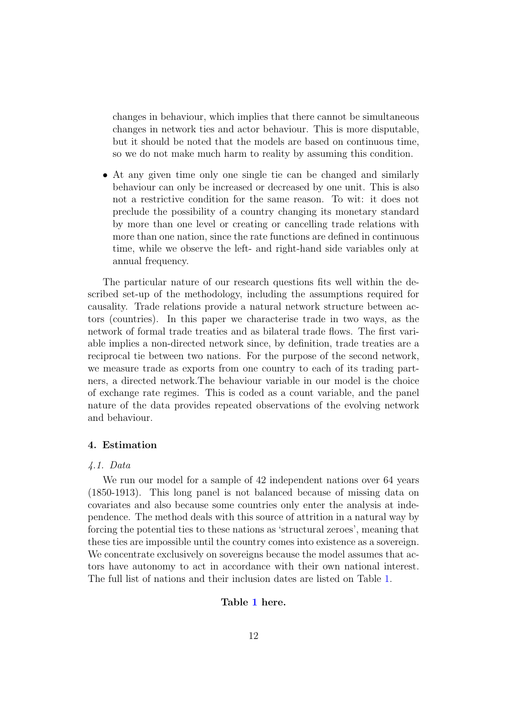changes in behaviour, which implies that there cannot be simultaneous changes in network ties and actor behaviour. This is more disputable, but it should be noted that the models are based on continuous time, so we do not make much harm to reality by assuming this condition.

• At any given time only one single tie can be changed and similarly behaviour can only be increased or decreased by one unit. This is also not a restrictive condition for the same reason. To wit: it does not preclude the possibility of a country changing its monetary standard by more than one level or creating or cancelling trade relations with more than one nation, since the rate functions are defined in continuous time, while we observe the left- and right-hand side variables only at annual frequency.

The particular nature of our research questions fits well within the described set-up of the methodology, including the assumptions required for causality. Trade relations provide a natural network structure between actors (countries). In this paper we characterise trade in two ways, as the network of formal trade treaties and as bilateral trade flows. The first variable implies a non-directed network since, by definition, trade treaties are a reciprocal tie between two nations. For the purpose of the second network, we measure trade as exports from one country to each of its trading partners, a directed network.The behaviour variable in our model is the choice of exchange rate regimes. This is coded as a count variable, and the panel nature of the data provides repeated observations of the evolving network and behaviour.

# <span id="page-11-0"></span>4. Estimation

#### 4.1. Data

We run our model for a sample of 42 independent nations over 64 years (1850-1913). This long panel is not balanced because of missing data on covariates and also because some countries only enter the analysis at independence. The method deals with this source of attrition in a natural way by forcing the potential ties to these nations as 'structural zeroes', meaning that these ties are impossible until the country comes into existence as a sovereign. We concentrate exclusively on sovereigns because the model assumes that actors have autonomy to act in accordance with their own national interest. The full list of nations and their inclusion dates are listed on Table [1.](#page-26-0)

# Table [1](#page-26-0) here.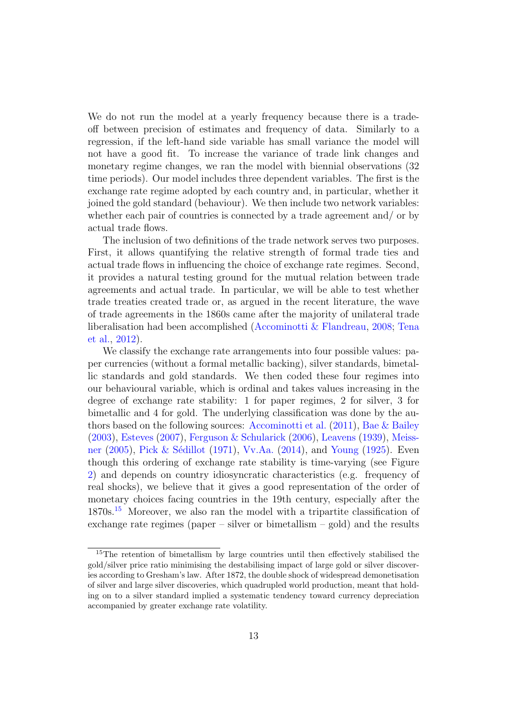We do not run the model at a yearly frequency because there is a tradeoff between precision of estimates and frequency of data. Similarly to a regression, if the left-hand side variable has small variance the model will not have a good fit. To increase the variance of trade link changes and monetary regime changes, we ran the model with biennial observations (32 time periods). Our model includes three dependent variables. The first is the exchange rate regime adopted by each country and, in particular, whether it joined the gold standard (behaviour). We then include two network variables: whether each pair of countries is connected by a trade agreement and/ or by actual trade flows.

The inclusion of two definitions of the trade network serves two purposes. First, it allows quantifying the relative strength of formal trade ties and actual trade flows in influencing the choice of exchange rate regimes. Second, it provides a natural testing ground for the mutual relation between trade agreements and actual trade. In particular, we will be able to test whether trade treaties created trade or, as argued in the recent literature, the wave of trade agreements in the 1860s came after the majority of unilateral trade liberalisation had been accomplished [\(Accominotti & Flandreau,](#page-21-3) [2008;](#page-21-3) [Tena](#page-25-7) [et al.,](#page-25-7) [2012\)](#page-25-7).

We classify the exchange rate arrangements into four possible values: paper currencies (without a formal metallic backing), silver standards, bimetallic standards and gold standards. We then coded these four regimes into our behavioural variable, which is ordinal and takes values increasing in the degree of exchange rate stability: 1 for paper regimes, 2 for silver, 3 for bimetallic and 4 for gold. The underlying classification was done by the authors based on the following sources: [Accominotti et al.](#page-21-4) [\(2011\)](#page-21-4), [Bae & Bailey](#page-21-5) [\(2003\)](#page-21-5), [Esteves](#page-22-7) [\(2007\)](#page-22-7), [Ferguson & Schularick](#page-22-8) [\(2006\)](#page-22-8), [Leavens](#page-23-8) [\(1939\)](#page-23-8), [Meiss](#page-24-0)[ner](#page-24-0) [\(2005\)](#page-24-0), Pick & Sédillot [\(1971\)](#page-24-7), [Vv.Aa.](#page-25-8) [\(2014\)](#page-25-8), and [Young](#page-25-9) [\(1925\)](#page-25-9). Even though this ordering of exchange rate stability is time-varying (see Figure [2\)](#page-28-1) and depends on country idiosyncratic characteristics (e.g. frequency of real shocks), we believe that it gives a good representation of the order of monetary choices facing countries in the 19th century, especially after the 1870s.[15](#page-12-0) Moreover, we also ran the model with a tripartite classification of exchange rate regimes (paper – silver or bimetallism – gold) and the results

<span id="page-12-0"></span><sup>15</sup>The retention of bimetallism by large countries until then effectively stabilised the gold/silver price ratio minimising the destabilising impact of large gold or silver discoveries according to Gresham's law. After 1872, the double shock of widespread demonetisation of silver and large silver discoveries, which quadrupled world production, meant that holding on to a silver standard implied a systematic tendency toward currency depreciation accompanied by greater exchange rate volatility.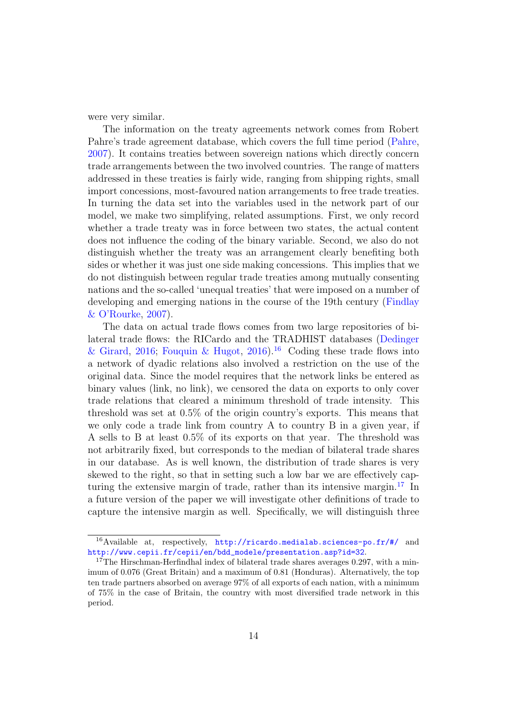were very similar.

The information on the treaty agreements network comes from Robert Pahre's trade agreement database, which covers the full time period [\(Pahre,](#page-24-8) [2007\)](#page-24-8). It contains treaties between sovereign nations which directly concern trade arrangements between the two involved countries. The range of matters addressed in these treaties is fairly wide, ranging from shipping rights, small import concessions, most-favoured nation arrangements to free trade treaties. In turning the data set into the variables used in the network part of our model, we make two simplifying, related assumptions. First, we only record whether a trade treaty was in force between two states, the actual content does not influence the coding of the binary variable. Second, we also do not distinguish whether the treaty was an arrangement clearly benefiting both sides or whether it was just one side making concessions. This implies that we do not distinguish between regular trade treaties among mutually consenting nations and the so-called 'unequal treaties' that were imposed on a number of developing and emerging nations in the course of the 19th century [\(Findlay](#page-22-9) [& O'Rourke,](#page-22-9) [2007\)](#page-22-9).

The data on actual trade flows comes from two large repositories of bilateral trade flows: the RICardo and the TRADHIST databases [\(Dedinger](#page-22-10) [& Girard,](#page-22-10) [2016;](#page-22-10) [Fouquin & Hugot,](#page-23-9) [2016\)](#page-23-9).<sup>[16](#page-13-0)</sup> Coding these trade flows into a network of dyadic relations also involved a restriction on the use of the original data. Since the model requires that the network links be entered as binary values (link, no link), we censored the data on exports to only cover trade relations that cleared a minimum threshold of trade intensity. This threshold was set at 0.5% of the origin country's exports. This means that we only code a trade link from country A to country B in a given year, if A sells to B at least 0.5% of its exports on that year. The threshold was not arbitrarily fixed, but corresponds to the median of bilateral trade shares in our database. As is well known, the distribution of trade shares is very skewed to the right, so that in setting such a low bar we are effectively cap-turing the extensive margin of trade, rather than its intensive margin.<sup>[17](#page-13-1)</sup> In a future version of the paper we will investigate other definitions of trade to capture the intensive margin as well. Specifically, we will distinguish three

<span id="page-13-0"></span><sup>16</sup>Available at, respectively, <http://ricardo.medialab.sciences-po.fr/#/> and [http://www.cepii.fr/cepii/en/bdd\\_modele/presentation.asp?id=32](http://www.cepii.fr/cepii/en/bdd_modele/presentation.asp?id=32).

<span id="page-13-1"></span><sup>&</sup>lt;sup>17</sup>The Hirschman-Herfindhal index of bilateral trade shares averages  $0.297$ , with a minimum of 0.076 (Great Britain) and a maximum of 0.81 (Honduras). Alternatively, the top ten trade partners absorbed on average 97% of all exports of each nation, with a minimum of 75% in the case of Britain, the country with most diversified trade network in this period.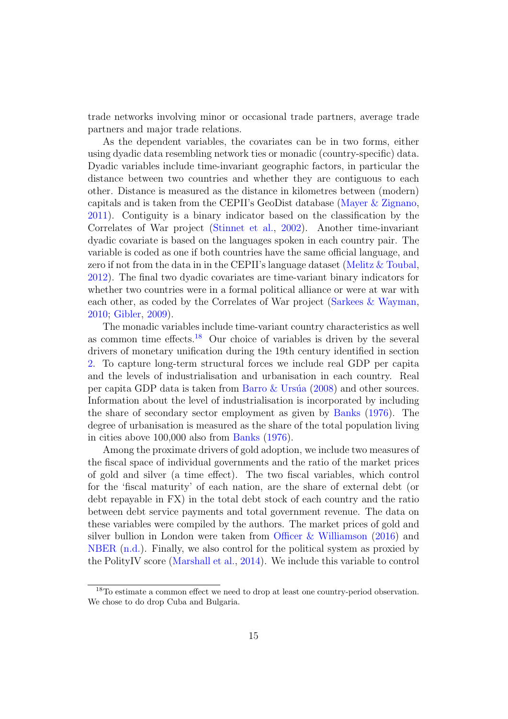trade networks involving minor or occasional trade partners, average trade partners and major trade relations.

As the dependent variables, the covariates can be in two forms, either using dyadic data resembling network ties or monadic (country-specific) data. Dyadic variables include time-invariant geographic factors, in particular the distance between two countries and whether they are contiguous to each other. Distance is measured as the distance in kilometres between (modern) capitals and is taken from the CEPII's GeoDist database [\(Mayer & Zignano,](#page-24-9) [2011\)](#page-24-9). Contiguity is a binary indicator based on the classification by the Correlates of War project [\(Stinnet et al.,](#page-25-10) [2002\)](#page-25-10). Another time-invariant dyadic covariate is based on the languages spoken in each country pair. The variable is coded as one if both countries have the same official language, and zero if not from the data in in the CEPII's language dataset [\(Melitz & Toubal,](#page-24-10) [2012\)](#page-24-10). The final two dyadic covariates are time-variant binary indicators for whether two countries were in a formal political alliance or were at war with each other, as coded by the Correlates of War project [\(Sarkees & Wayman,](#page-25-11) [2010;](#page-25-11) [Gibler,](#page-23-10) [2009\)](#page-23-10).

The monadic variables include time-variant country characteristics as well as common time effects.<sup>[18](#page-14-0)</sup> Our choice of variables is driven by the several drivers of monetary unification during the 19th century identified in section [2.](#page-2-1) To capture long-term structural forces we include real GDP per capita and the levels of industrialisation and urbanisation in each country. Real per capita GDP data is taken from Barro  $&$  Ursúa [\(2008\)](#page-21-6) and other sources. Information about the level of industrialisation is incorporated by including the share of secondary sector employment as given by [Banks](#page-21-7) [\(1976\)](#page-21-7). The degree of urbanisation is measured as the share of the total population living in cities above 100,000 also from [Banks](#page-21-7) [\(1976\)](#page-21-7).

Among the proximate drivers of gold adoption, we include two measures of the fiscal space of individual governments and the ratio of the market prices of gold and silver (a time effect). The two fiscal variables, which control for the 'fiscal maturity' of each nation, are the share of external debt (or debt repayable in FX) in the total debt stock of each country and the ratio between debt service payments and total government revenue. The data on these variables were compiled by the authors. The market prices of gold and silver bullion in London were taken from [Officer & Williamson](#page-24-11) [\(2016\)](#page-24-11) and [NBER](#page-24-12) [\(n.d.\)](#page-24-12). Finally, we also control for the political system as proxied by the PolityIV score [\(Marshall et al.,](#page-23-11) [2014\)](#page-23-11). We include this variable to control

<span id="page-14-0"></span><sup>&</sup>lt;sup>18</sup>To estimate a common effect we need to drop at least one country-period observation. We chose to do drop Cuba and Bulgaria.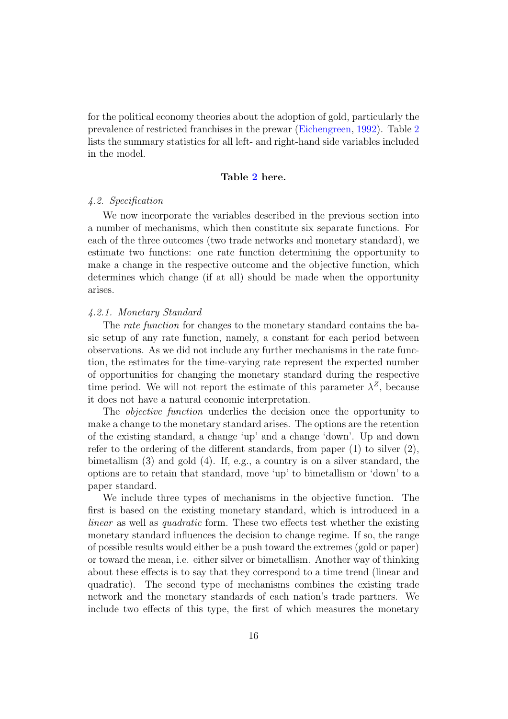for the political economy theories about the adoption of gold, particularly the prevalence of restricted franchises in the prewar [\(Eichengreen,](#page-22-11) [1992\)](#page-22-11). Table [2](#page-26-1) lists the summary statistics for all left- and right-hand side variables included in the model.

## Table [2](#page-26-1) here.

# 4.2. Specification

We now incorporate the variables described in the previous section into a number of mechanisms, which then constitute six separate functions. For each of the three outcomes (two trade networks and monetary standard), we estimate two functions: one rate function determining the opportunity to make a change in the respective outcome and the objective function, which determines which change (if at all) should be made when the opportunity arises.

# 4.2.1. Monetary Standard

The rate function for changes to the monetary standard contains the basic setup of any rate function, namely, a constant for each period between observations. As we did not include any further mechanisms in the rate function, the estimates for the time-varying rate represent the expected number of opportunities for changing the monetary standard during the respective time period. We will not report the estimate of this parameter  $\lambda^Z$ , because it does not have a natural economic interpretation.

The *objective function* underlies the decision once the opportunity to make a change to the monetary standard arises. The options are the retention of the existing standard, a change 'up' and a change 'down'. Up and down refer to the ordering of the different standards, from paper  $(1)$  to silver  $(2)$ , bimetallism (3) and gold (4). If, e.g., a country is on a silver standard, the options are to retain that standard, move 'up' to bimetallism or 'down' to a paper standard.

We include three types of mechanisms in the objective function. The first is based on the existing monetary standard, which is introduced in a linear as well as quadratic form. These two effects test whether the existing monetary standard influences the decision to change regime. If so, the range of possible results would either be a push toward the extremes (gold or paper) or toward the mean, i.e. either silver or bimetallism. Another way of thinking about these effects is to say that they correspond to a time trend (linear and quadratic). The second type of mechanisms combines the existing trade network and the monetary standards of each nation's trade partners. We include two effects of this type, the first of which measures the monetary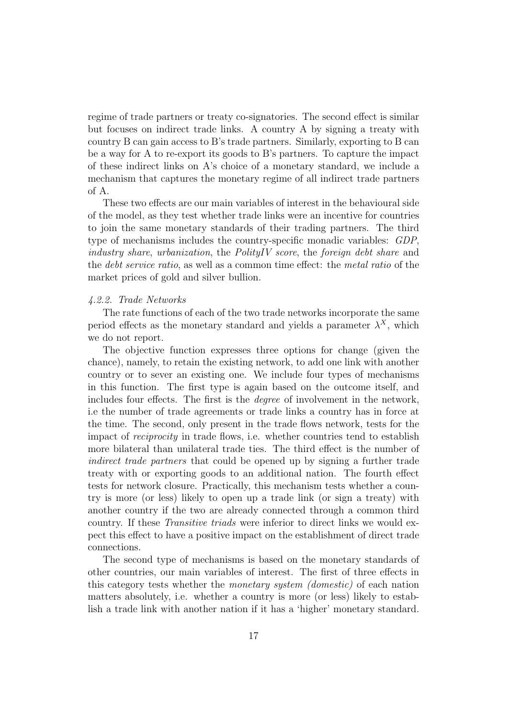regime of trade partners or treaty co-signatories. The second effect is similar but focuses on indirect trade links. A country A by signing a treaty with country B can gain access to B's trade partners. Similarly, exporting to B can be a way for A to re-export its goods to B's partners. To capture the impact of these indirect links on A's choice of a monetary standard, we include a mechanism that captures the monetary regime of all indirect trade partners of A.

These two effects are our main variables of interest in the behavioural side of the model, as they test whether trade links were an incentive for countries to join the same monetary standards of their trading partners. The third type of mechanisms includes the country-specific monadic variables: GDP, industry share, urbanization, the PolityIV score, the foreign debt share and the debt service ratio, as well as a common time effect: the metal ratio of the market prices of gold and silver bullion.

#### 4.2.2. Trade Networks

The rate functions of each of the two trade networks incorporate the same period effects as the monetary standard and yields a parameter  $\lambda^X$ , which we do not report.

The objective function expresses three options for change (given the chance), namely, to retain the existing network, to add one link with another country or to sever an existing one. We include four types of mechanisms in this function. The first type is again based on the outcome itself, and includes four effects. The first is the degree of involvement in the network, i.e the number of trade agreements or trade links a country has in force at the time. The second, only present in the trade flows network, tests for the impact of reciprocity in trade flows, i.e. whether countries tend to establish more bilateral than unilateral trade ties. The third effect is the number of indirect trade partners that could be opened up by signing a further trade treaty with or exporting goods to an additional nation. The fourth effect tests for network closure. Practically, this mechanism tests whether a country is more (or less) likely to open up a trade link (or sign a treaty) with another country if the two are already connected through a common third country. If these Transitive triads were inferior to direct links we would expect this effect to have a positive impact on the establishment of direct trade connections.

The second type of mechanisms is based on the monetary standards of other countries, our main variables of interest. The first of three effects in this category tests whether the monetary system (domestic) of each nation matters absolutely, i.e. whether a country is more (or less) likely to establish a trade link with another nation if it has a 'higher' monetary standard.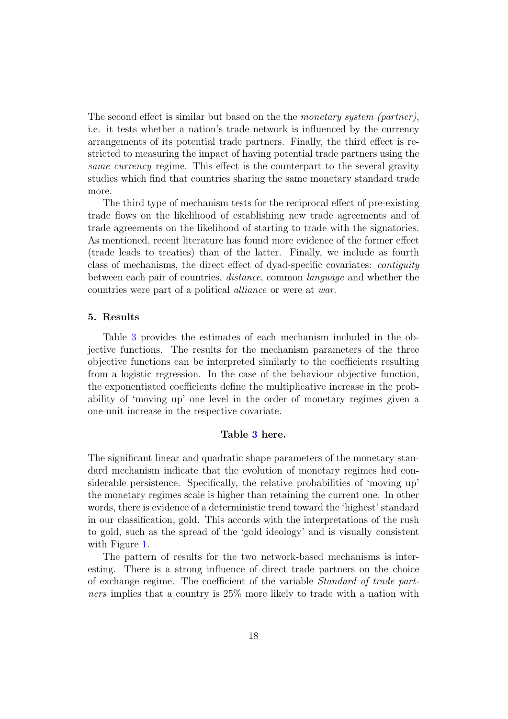The second effect is similar but based on the the monetary system (partner), i.e. it tests whether a nation's trade network is influenced by the currency arrangements of its potential trade partners. Finally, the third effect is restricted to measuring the impact of having potential trade partners using the same currency regime. This effect is the counterpart to the several gravity studies which find that countries sharing the same monetary standard trade more.

The third type of mechanism tests for the reciprocal effect of pre-existing trade flows on the likelihood of establishing new trade agreements and of trade agreements on the likelihood of starting to trade with the signatories. As mentioned, recent literature has found more evidence of the former effect (trade leads to treaties) than of the latter. Finally, we include as fourth class of mechanisms, the direct effect of dyad-specific covariates: contiguity between each pair of countries, distance, common language and whether the countries were part of a political alliance or were at war.

## <span id="page-17-0"></span>5. Results

Table [3](#page-27-0) provides the estimates of each mechanism included in the objective functions. The results for the mechanism parameters of the three objective functions can be interpreted similarly to the coefficients resulting from a logistic regression. In the case of the behaviour objective function, the exponentiated coefficients define the multiplicative increase in the probability of 'moving up' one level in the order of monetary regimes given a one-unit increase in the respective covariate.

# Table [3](#page-27-0) here.

The significant linear and quadratic shape parameters of the monetary standard mechanism indicate that the evolution of monetary regimes had considerable persistence. Specifically, the relative probabilities of 'moving up' the monetary regimes scale is higher than retaining the current one. In other words, there is evidence of a deterministic trend toward the 'highest' standard in our classification, gold. This accords with the interpretations of the rush to gold, such as the spread of the 'gold ideology' and is visually consistent with Figure [1.](#page-28-0)

The pattern of results for the two network-based mechanisms is interesting. There is a strong influence of direct trade partners on the choice of exchange regime. The coefficient of the variable Standard of trade partners implies that a country is 25% more likely to trade with a nation with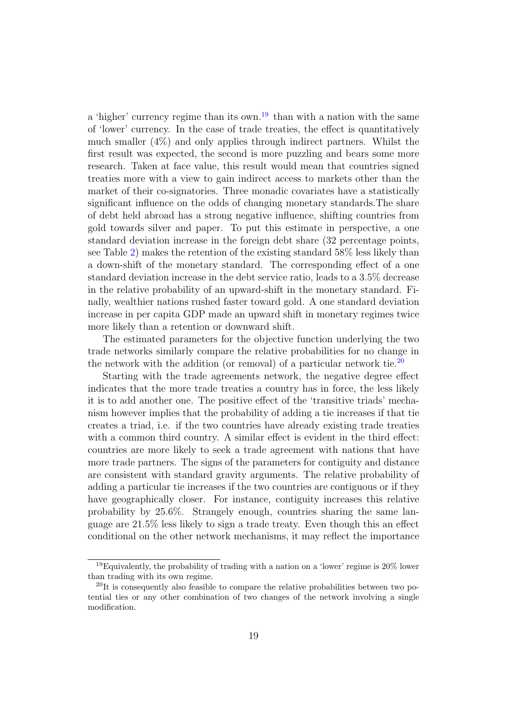a 'higher' currency regime than its own.<sup>[19](#page-18-0)</sup> than with a nation with the same of 'lower' currency. In the case of trade treaties, the effect is quantitatively much smaller (4%) and only applies through indirect partners. Whilst the first result was expected, the second is more puzzling and bears some more research. Taken at face value, this result would mean that countries signed treaties more with a view to gain indirect access to markets other than the market of their co-signatories. Three monadic covariates have a statistically significant influence on the odds of changing monetary standards.The share of debt held abroad has a strong negative influence, shifting countries from gold towards silver and paper. To put this estimate in perspective, a one standard deviation increase in the foreign debt share (32 percentage points, see Table [2\)](#page-26-1) makes the retention of the existing standard 58% less likely than a down-shift of the monetary standard. The corresponding effect of a one standard deviation increase in the debt service ratio, leads to a 3.5% decrease in the relative probability of an upward-shift in the monetary standard. Finally, wealthier nations rushed faster toward gold. A one standard deviation increase in per capita GDP made an upward shift in monetary regimes twice more likely than a retention or downward shift.

The estimated parameters for the objective function underlying the two trade networks similarly compare the relative probabilities for no change in the network with the addition (or removal) of a particular network tie.<sup>[20](#page-18-1)</sup>

Starting with the trade agreements network, the negative degree effect indicates that the more trade treaties a country has in force, the less likely it is to add another one. The positive effect of the 'transitive triads' mechanism however implies that the probability of adding a tie increases if that tie creates a triad, i.e. if the two countries have already existing trade treaties with a common third country. A similar effect is evident in the third effect: countries are more likely to seek a trade agreement with nations that have more trade partners. The signs of the parameters for contiguity and distance are consistent with standard gravity arguments. The relative probability of adding a particular tie increases if the two countries are contiguous or if they have geographically closer. For instance, contiguity increases this relative probability by 25.6%. Strangely enough, countries sharing the same language are 21.5% less likely to sign a trade treaty. Even though this an effect conditional on the other network mechanisms, it may reflect the importance

<span id="page-18-0"></span><sup>&</sup>lt;sup>19</sup>Equivalently, the probability of trading with a nation on a 'lower' regime is  $20\%$  lower than trading with its own regime.

<span id="page-18-1"></span> $^{20}$ It is consequently also feasible to compare the relative probabilities between two potential ties or any other combination of two changes of the network involving a single modification.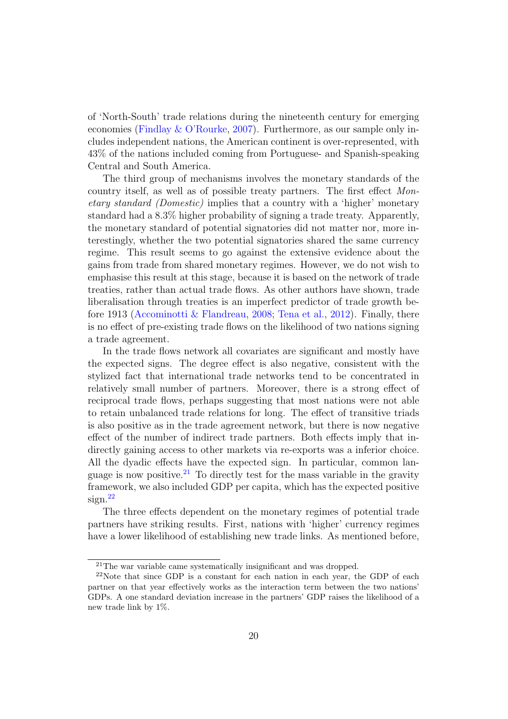of 'North-South' trade relations during the nineteenth century for emerging economies [\(Findlay & O'Rourke,](#page-22-9) [2007\)](#page-22-9). Furthermore, as our sample only includes independent nations, the American continent is over-represented, with 43% of the nations included coming from Portuguese- and Spanish-speaking Central and South America.

The third group of mechanisms involves the monetary standards of the country itself, as well as of possible treaty partners. The first effect Monetary standard (Domestic) implies that a country with a 'higher' monetary standard had a 8.3% higher probability of signing a trade treaty. Apparently, the monetary standard of potential signatories did not matter nor, more interestingly, whether the two potential signatories shared the same currency regime. This result seems to go against the extensive evidence about the gains from trade from shared monetary regimes. However, we do not wish to emphasise this result at this stage, because it is based on the network of trade treaties, rather than actual trade flows. As other authors have shown, trade liberalisation through treaties is an imperfect predictor of trade growth before 1913 (Accominotti  $&$  Flandreau, [2008;](#page-21-3) [Tena et al.,](#page-25-7) [2012\)](#page-25-7). Finally, there is no effect of pre-existing trade flows on the likelihood of two nations signing a trade agreement.

In the trade flows network all covariates are significant and mostly have the expected signs. The degree effect is also negative, consistent with the stylized fact that international trade networks tend to be concentrated in relatively small number of partners. Moreover, there is a strong effect of reciprocal trade flows, perhaps suggesting that most nations were not able to retain unbalanced trade relations for long. The effect of transitive triads is also positive as in the trade agreement network, but there is now negative effect of the number of indirect trade partners. Both effects imply that indirectly gaining access to other markets via re-exports was a inferior choice. All the dyadic effects have the expected sign. In particular, common lan-guage is now positive.<sup>[21](#page-19-0)</sup> To directly test for the mass variable in the gravity framework, we also included GDP per capita, which has the expected positive  $sign.<sup>22</sup>$  $sign.<sup>22</sup>$  $sign.<sup>22</sup>$ 

The three effects dependent on the monetary regimes of potential trade partners have striking results. First, nations with 'higher' currency regimes have a lower likelihood of establishing new trade links. As mentioned before,

<span id="page-19-1"></span><span id="page-19-0"></span><sup>&</sup>lt;sup>21</sup>The war variable came systematically insignificant and was dropped.

 $22$ Note that since GDP is a constant for each nation in each year, the GDP of each partner on that year effectively works as the interaction term between the two nations' GDPs. A one standard deviation increase in the partners' GDP raises the likelihood of a new trade link by 1%.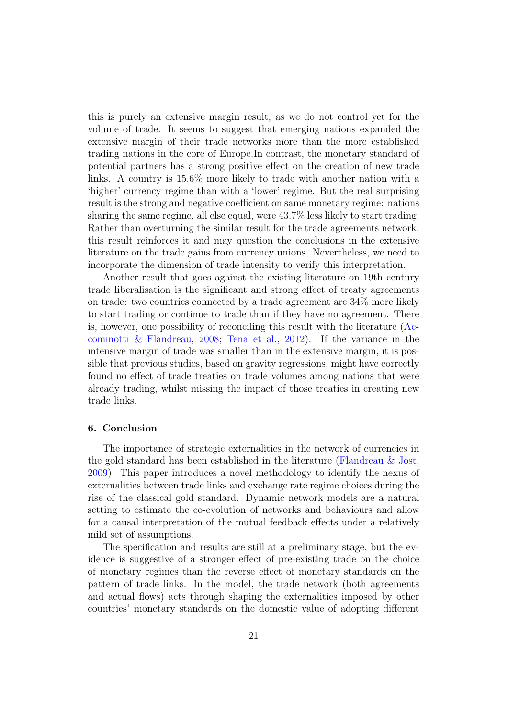this is purely an extensive margin result, as we do not control yet for the volume of trade. It seems to suggest that emerging nations expanded the extensive margin of their trade networks more than the more established trading nations in the core of Europe.In contrast, the monetary standard of potential partners has a strong positive effect on the creation of new trade links. A country is 15.6% more likely to trade with another nation with a 'higher' currency regime than with a 'lower' regime. But the real surprising result is the strong and negative coefficient on same monetary regime: nations sharing the same regime, all else equal, were 43.7% less likely to start trading. Rather than overturning the similar result for the trade agreements network, this result reinforces it and may question the conclusions in the extensive literature on the trade gains from currency unions. Nevertheless, we need to incorporate the dimension of trade intensity to verify this interpretation.

Another result that goes against the existing literature on 19th century trade liberalisation is the significant and strong effect of treaty agreements on trade: two countries connected by a trade agreement are 34% more likely to start trading or continue to trade than if they have no agreement. There is, however, one possibility of reconciling this result with the literature [\(Ac](#page-21-3)[cominotti & Flandreau,](#page-21-3) [2008;](#page-21-3) [Tena et al.,](#page-25-7) [2012\)](#page-25-7). If the variance in the intensive margin of trade was smaller than in the extensive margin, it is possible that previous studies, based on gravity regressions, might have correctly found no effect of trade treaties on trade volumes among nations that were already trading, whilst missing the impact of those treaties in creating new trade links.

#### 6. Conclusion

The importance of strategic externalities in the network of currencies in the gold standard has been established in the literature [\(Flandreau & Jost,](#page-23-12) [2009\)](#page-23-12). This paper introduces a novel methodology to identify the nexus of externalities between trade links and exchange rate regime choices during the rise of the classical gold standard. Dynamic network models are a natural setting to estimate the co-evolution of networks and behaviours and allow for a causal interpretation of the mutual feedback effects under a relatively mild set of assumptions.

The specification and results are still at a preliminary stage, but the evidence is suggestive of a stronger effect of pre-existing trade on the choice of monetary regimes than the reverse effect of monetary standards on the pattern of trade links. In the model, the trade network (both agreements and actual flows) acts through shaping the externalities imposed by other countries' monetary standards on the domestic value of adopting different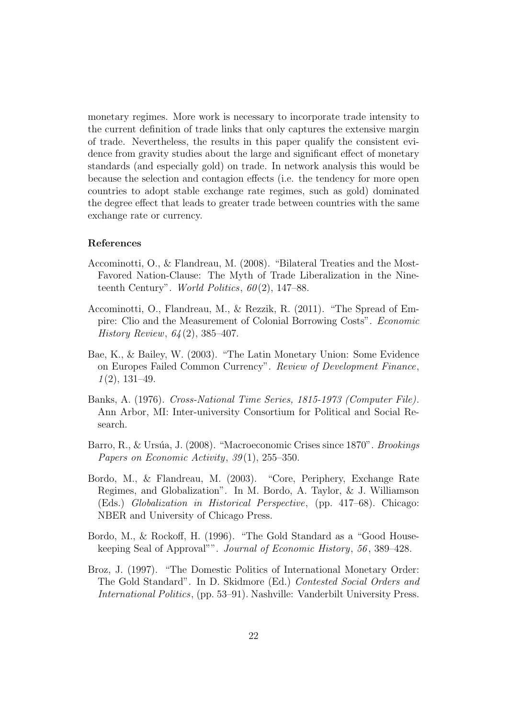monetary regimes. More work is necessary to incorporate trade intensity to the current definition of trade links that only captures the extensive margin of trade. Nevertheless, the results in this paper qualify the consistent evidence from gravity studies about the large and significant effect of monetary standards (and especially gold) on trade. In network analysis this would be because the selection and contagion effects (i.e. the tendency for more open countries to adopt stable exchange rate regimes, such as gold) dominated the degree effect that leads to greater trade between countries with the same exchange rate or currency.

# References

- <span id="page-21-3"></span>Accominotti, O., & Flandreau, M. (2008). "Bilateral Treaties and the Most-Favored Nation-Clause: The Myth of Trade Liberalization in the Nineteenth Century". World Politics,  $60(2)$ , 147–88.
- <span id="page-21-4"></span>Accominotti, O., Flandreau, M., & Rezzik, R. (2011). "The Spread of Empire: Clio and the Measurement of Colonial Borrowing Costs". Economic History Review, 64 (2), 385–407.
- <span id="page-21-5"></span>Bae, K., & Bailey, W. (2003). "The Latin Monetary Union: Some Evidence on Europes Failed Common Currency". Review of Development Finance,  $1(2), 131-49.$
- <span id="page-21-7"></span>Banks, A. (1976). Cross-National Time Series, 1815-1973 (Computer File). Ann Arbor, MI: Inter-university Consortium for Political and Social Research.
- <span id="page-21-6"></span>Barro, R., & Ursúa, J. (2008). "Macroeconomic Crises since 1870". Brookings Papers on Economic Activity,  $39(1)$ ,  $255-350$ .
- <span id="page-21-2"></span>Bordo, M., & Flandreau, M. (2003). "Core, Periphery, Exchange Rate Regimes, and Globalization". In M. Bordo, A. Taylor, & J. Williamson (Eds.) Globalization in Historical Perspective, (pp. 417–68). Chicago: NBER and University of Chicago Press.
- <span id="page-21-1"></span>Bordo, M., & Rockoff, H. (1996). "The Gold Standard as a "Good Housekeeping Seal of Approval"". Journal of Economic History, 56 , 389–428.
- <span id="page-21-0"></span>Broz, J. (1997). "The Domestic Politics of International Monetary Order: The Gold Standard". In D. Skidmore (Ed.) Contested Social Orders and International Politics, (pp. 53–91). Nashville: Vanderbilt University Press.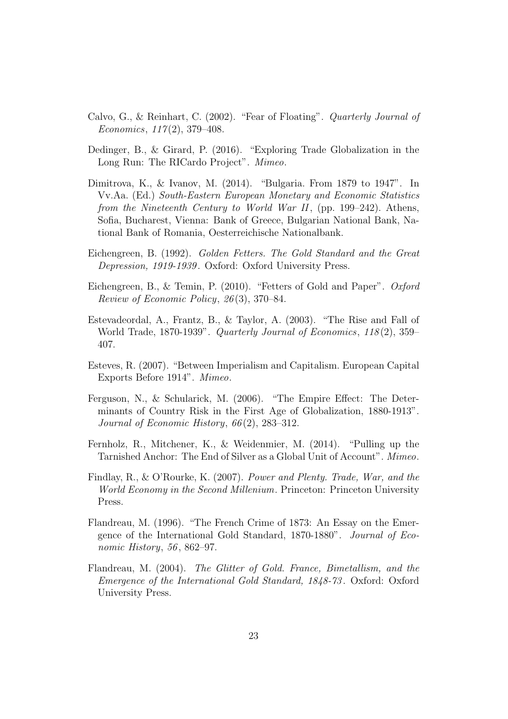- <span id="page-22-5"></span>Calvo, G., & Reinhart, C. (2002). "Fear of Floating". Quarterly Journal of Economics,  $117(2)$ , 379-408.
- <span id="page-22-10"></span>Dedinger, B., & Girard, P. (2016). "Exploring Trade Globalization in the Long Run: The RICardo Project". Mimeo.
- <span id="page-22-4"></span>Dimitrova, K., & Ivanov, M. (2014). "Bulgaria. From 1879 to 1947". In Vv.Aa. (Ed.) South-Eastern European Monetary and Economic Statistics from the Nineteenth Century to World War II, (pp. 199–242). Athens, Sofia, Bucharest, Vienna: Bank of Greece, Bulgarian National Bank, National Bank of Romania, Oesterreichische Nationalbank.
- <span id="page-22-11"></span>Eichengreen, B. (1992). Golden Fetters. The Gold Standard and the Great Depression, 1919-1939. Oxford: Oxford University Press.
- <span id="page-22-1"></span>Eichengreen, B., & Temin, P. (2010). "Fetters of Gold and Paper". Oxford Review of Economic Policy, 26 (3), 370–84.
- <span id="page-22-0"></span>Estevadeordal, A., Frantz, B., & Taylor, A. (2003). "The Rise and Fall of World Trade, 1870-1939". Quarterly Journal of Economics, 118(2), 359– 407.
- <span id="page-22-7"></span>Esteves, R. (2007). "Between Imperialism and Capitalism. European Capital Exports Before 1914". Mimeo.
- <span id="page-22-8"></span>Ferguson, N., & Schularick, M. (2006). "The Empire Effect: The Determinants of Country Risk in the First Age of Globalization, 1880-1913". Journal of Economic History, 66 (2), 283–312.
- <span id="page-22-6"></span>Fernholz, R., Mitchener, K., & Weidenmier, M. (2014). "Pulling up the Tarnished Anchor: The End of Silver as a Global Unit of Account". Mimeo.
- <span id="page-22-9"></span>Findlay, R., & O'Rourke, K. (2007). Power and Plenty. Trade, War, and the World Economy in the Second Millenium. Princeton: Princeton University Press.
- <span id="page-22-2"></span>Flandreau, M. (1996). "The French Crime of 1873: An Essay on the Emergence of the International Gold Standard, 1870-1880". Journal of Economic History, 56, 862–97.
- <span id="page-22-3"></span>Flandreau, M. (2004). The Glitter of Gold. France, Bimetallism, and the Emergence of the International Gold Standard, 1848-73 . Oxford: Oxford University Press.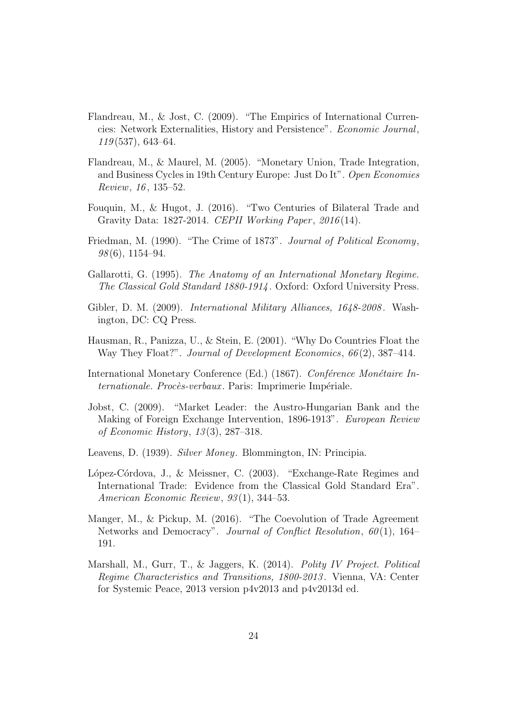- <span id="page-23-12"></span>Flandreau, M., & Jost, C. (2009). "The Empirics of International Currencies: Network Externalities, History and Persistence". Economic Journal,  $119(537), 643-64.$
- <span id="page-23-5"></span>Flandreau, M., & Maurel, M. (2005). "Monetary Union, Trade Integration, and Business Cycles in 19th Century Europe: Just Do It". Open Economies Review, 16 , 135–52.
- <span id="page-23-9"></span>Fouquin, M., & Hugot, J. (2016). "Two Centuries of Bilateral Trade and Gravity Data: 1827-2014. CEPII Working Paper, 2016(14).
- <span id="page-23-1"></span>Friedman, M. (1990). "The Crime of 1873". Journal of Political Economy,  $98(6)$ , 1154–94.
- <span id="page-23-0"></span>Gallarotti, G. (1995). The Anatomy of an International Monetary Regime. The Classical Gold Standard 1880-1914 . Oxford: Oxford University Press.
- <span id="page-23-10"></span>Gibler, D. M. (2009). *International Military Alliances, 1648-2008*. Washington, DC: CQ Press.
- <span id="page-23-6"></span>Hausman, R., Panizza, U., & Stein, E. (2001). "Why Do Countries Float the Way They Float?". Journal of Development Economics, 66(2), 387-414.
- <span id="page-23-2"></span>International Monetary Conference (Ed.) (1867). Conference Monetaire Internationale. Procès-verbaux. Paris: Imprimerie Impériale.
- <span id="page-23-3"></span>Jobst, C. (2009). "Market Leader: the Austro-Hungarian Bank and the Making of Foreign Exchange Intervention, 1896-1913". European Review of Economic History, 13 (3), 287–318.
- <span id="page-23-8"></span>Leavens, D. (1939). Silver Money. Blommington, IN: Principia.
- <span id="page-23-4"></span>López-Córdova, J., & Meissner, C. (2003). "Exchange-Rate Regimes and International Trade: Evidence from the Classical Gold Standard Era". American Economic Review, 93(1), 344–53.
- <span id="page-23-7"></span>Manger, M., & Pickup, M. (2016). "The Coevolution of Trade Agreement Networks and Democracy". Journal of Conflict Resolution, 60(1), 164– 191.
- <span id="page-23-11"></span>Marshall, M., Gurr, T., & Jaggers, K. (2014). Polity IV Project. Political Regime Characteristics and Transitions, 1800-2013 . Vienna, VA: Center for Systemic Peace, 2013 version p4v2013 and p4v2013d ed.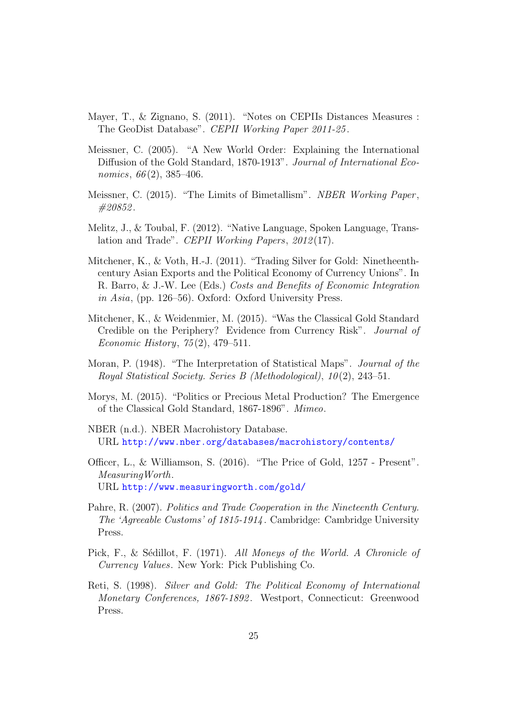- <span id="page-24-9"></span>Mayer, T., & Zignano, S. (2011). "Notes on CEPIIs Distances Measures : The GeoDist Database". CEPII Working Paper 2011-25 .
- <span id="page-24-0"></span>Meissner, C. (2005). "A New World Order: Explaining the International Diffusion of the Gold Standard, 1870-1913". Journal of International Economics,  $66(2)$ , 385–406.
- <span id="page-24-3"></span>Meissner, C. (2015). "The Limits of Bimetallism". NBER Working Paper, #20852 .
- <span id="page-24-10"></span>Melitz, J., & Toubal, F. (2012). "Native Language, Spoken Language, Translation and Trade". CEPII Working Papers, 2012 (17).
- <span id="page-24-1"></span>Mitchener, K., & Voth, H.-J. (2011). "Trading Silver for Gold: Ninetheenthcentury Asian Exports and the Political Economy of Currency Unions". In R. Barro, & J.-W. Lee (Eds.) Costs and Benefits of Economic Integration in Asia, (pp. 126–56). Oxford: Oxford University Press.
- <span id="page-24-5"></span>Mitchener, K., & Weidenmier, M. (2015). "Was the Classical Gold Standard Credible on the Periphery? Evidence from Currency Risk". Journal of Economic History, 75 (2), 479–511.
- <span id="page-24-6"></span>Moran, P. (1948). "The Interpretation of Statistical Maps". Journal of the Royal Statistical Society. Series B (Methodological), 10 (2), 243–51.
- <span id="page-24-4"></span>Morys, M. (2015). "Politics or Precious Metal Production? The Emergence of the Classical Gold Standard, 1867-1896". Mimeo.
- <span id="page-24-12"></span>NBER (n.d.). NBER Macrohistory Database. URL <http://www.nber.org/databases/macrohistory/contents/>
- <span id="page-24-11"></span>Officer, L., & Williamson, S. (2016). "The Price of Gold, 1257 - Present". MeasuringWorth. URL <http://www.measuringworth.com/gold/>
- <span id="page-24-8"></span>Pahre, R. (2007). Politics and Trade Cooperation in the Nineteenth Century. The 'Agreeable Customs' of 1815-1914 . Cambridge: Cambridge University Press.
- <span id="page-24-7"></span>Pick, F., & Sédillot, F. (1971). All Moneys of the World. A Chronicle of Currency Values. New York: Pick Publishing Co.
- <span id="page-24-2"></span>Reti, S. (1998). Silver and Gold: The Political Economy of International Monetary Conferences, 1867-1892 . Westport, Connecticut: Greenwood Press.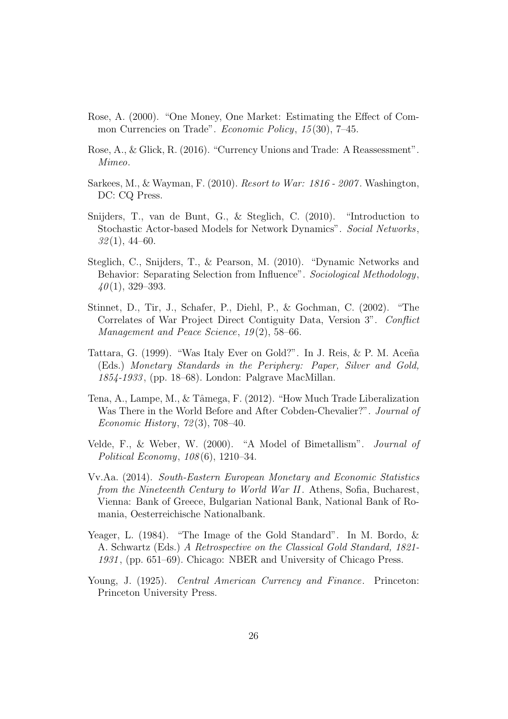- <span id="page-25-0"></span>Rose, A. (2000). "One Money, One Market: Estimating the Effect of Common Currencies on Trade". Economic Policy, 15 (30), 7–45.
- <span id="page-25-1"></span>Rose, A., & Glick, R. (2016). "Currency Unions and Trade: A Reassessment". Mimeo.
- <span id="page-25-11"></span>Sarkees, M., & Wayman, F. (2010). Resort to War: 1816 - 2007 . Washington, DC: CQ Press.
- <span id="page-25-3"></span>Snijders, T., van de Bunt, G., & Steglich, C. (2010). "Introduction to Stochastic Actor-based Models for Network Dynamics". Social Networks,  $32(1)$ , 44–60.
- <span id="page-25-2"></span>Steglich, C., Snijders, T., & Pearson, M. (2010). "Dynamic Networks and Behavior: Separating Selection from Influence". Sociological Methodology,  $40(1)$ , 329-393.
- <span id="page-25-10"></span>Stinnet, D., Tir, J., Schafer, P., Diehl, P., & Gochman, C. (2002). "The Correlates of War Project Direct Contiguity Data, Version 3". Conflict Management and Peace Science, 19(2), 58–66.
- <span id="page-25-5"></span>Tattara, G. (1999). "Was Italy Ever on Gold?". In J. Reis, & P. M. Aceña (Eds.) Monetary Standards in the Periphery: Paper, Silver and Gold, 1854-1933 , (pp. 18–68). London: Palgrave MacMillan.
- <span id="page-25-7"></span>Tena, A., Lampe, M., & Tâmega, F. (2012). "How Much Trade Liberalization" Was There in the World Before and After Cobden-Chevalier?". Journal of Economic History, 72 (3), 708–40.
- <span id="page-25-6"></span>Velde, F., & Weber, W. (2000). "A Model of Bimetallism". Journal of Political Economy, 108 (6), 1210–34.
- <span id="page-25-8"></span>Vv.Aa. (2014). South-Eastern European Monetary and Economic Statistics from the Nineteenth Century to World War II. Athens, Sofia, Bucharest, Vienna: Bank of Greece, Bulgarian National Bank, National Bank of Romania, Oesterreichische Nationalbank.
- <span id="page-25-4"></span>Yeager, L. (1984). "The Image of the Gold Standard". In M. Bordo, & A. Schwartz (Eds.) A Retrospective on the Classical Gold Standard, 1821- 1931 , (pp. 651–69). Chicago: NBER and University of Chicago Press.
- <span id="page-25-9"></span>Young, J. (1925). Central American Currency and Finance. Princeton: Princeton University Press.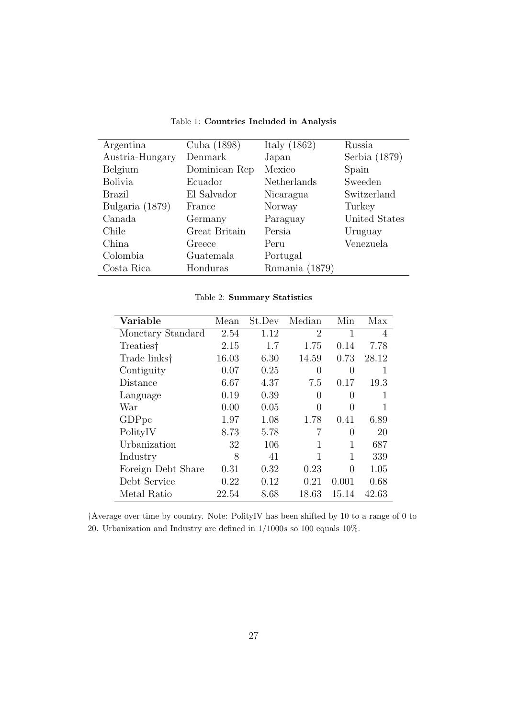| Argentina       | Cuba (1898)   | Italy $(1862)$ | Russia        |
|-----------------|---------------|----------------|---------------|
| Austria-Hungary | Denmark       | Japan          | Serbia (1879) |
| Belgium         | Dominican Rep | Mexico         | Spain         |
| <b>Bolivia</b>  | Ecuador       | Netherlands    | Sweeden       |
| Brazil          | El Salvador   | Nicaragua      | Switzerland   |
| Bulgaria (1879) | France        | Norway         | Turkey        |
| Canada          | Germany       | Paraguay       | United States |
| Chile           | Great Britain | Persia         | Uruguay       |
| China           | Greece        | Peru           | Venezuela     |
| Colombia        | Guatemala     | Portugal       |               |
| Costa Rica      | Honduras      | Romania (1879) |               |

<span id="page-26-0"></span>Table 1: Countries Included in Analysis

<span id="page-26-1"></span>

|  | Table 2: Summary Statistics |  |
|--|-----------------------------|--|
|--|-----------------------------|--|

| Variable              | Mean  | St.Dev | Median         | Min   | Max   |
|-----------------------|-------|--------|----------------|-------|-------|
| Monetary Standard     | 2.54  | 1.12   | $\overline{2}$ | 1     | 4     |
| Treaties <sup>†</sup> | 2.15  | 1.7    | 1.75           | 0.14  | 7.78  |
| Trade links†          | 16.03 | 6.30   | 14.59          | 0.73  | 28.12 |
| Contiguity            | 0.07  | 0.25   | 0              | 0     | 1     |
| Distance              | 6.67  | 4.37   | 7.5            | 0.17  | 19.3  |
| Language              | 0.19  | 0.39   | 0              | 0     | 1     |
| War                   | 0.00  | 0.05   | 0              | 0     |       |
| GDP <sub>pc</sub>     | 1.97  | 1.08   | 1.78           | 0.41  | 6.89  |
| PolityIV              | 8.73  | 5.78   |                | 0     | 20    |
| Urbanization          | 32    | 106    |                | 1     | 687   |
| Industry              | 8     | 41     | 1              | 1     | 339   |
| Foreign Debt Share    | 0.31  | 0.32   | 0.23           | 0     | 1.05  |
| Debt Service          | 0.22  | 0.12   | 0.21           | 0.001 | 0.68  |
| Metal Ratio           | 22.54 | 8.68   | 18.63          | 15.14 | 42.63 |

†Average over time by country. Note: PolityIV has been shifted by 10 to a range of 0 to 20. Urbanization and Industry are defined in 1/1000s so 100 equals 10%.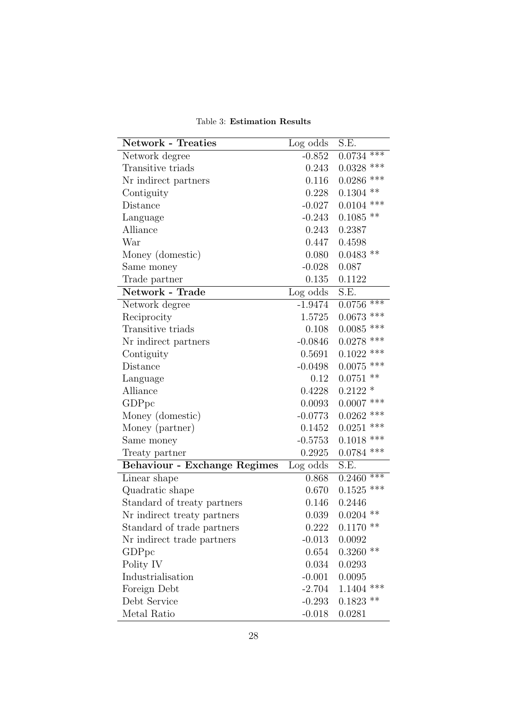<span id="page-27-0"></span>Table 3: Estimation Results

| <b>Network - Treaties</b>           | Log odds  | S.E.            |
|-------------------------------------|-----------|-----------------|
| Network degree                      | $-0.852$  | $***$<br>0.0734 |
| Transitive triads                   | 0.243     | ***<br>0.0328   |
| Nr indirect partners                | 0.116     | ***<br>0.0286   |
| Contiguity                          | 0.228     | **<br>0.1304    |
| Distance                            | $-0.027$  | ***<br>0.0104   |
| Language                            | $-0.243$  | $0.1085$ **     |
| Alliance                            | 0.243     | 0.2387          |
| War                                 | 0.447     | 0.4598          |
| Money (domestic)                    | 0.080     | $0.0483$ **     |
| Same money                          | $-0.028$  | 0.087           |
| Trade partner                       | 0.135     | 0.1122          |
| Network - Trade                     | Log odds  | S.E.            |
| Network degree                      | $-1.9474$ | ***<br>0.0756   |
| Reciprocity                         | 1.5725    | ***<br>0.0673   |
| Transitive triads                   | 0.108     | ***<br>0.0085   |
| Nr indirect partners                | $-0.0846$ | ***<br>0.0278   |
| Contiguity                          | 0.5691    | ***<br>0.1022   |
| Distance                            | $-0.0498$ | $0.0075$ ***    |
| Language                            | 0.12      | **<br>0.0751    |
| Alliance                            | 0.4228    | $0.2122 *$      |
| GDPpc                               | 0.0093    | ***<br>0.0007   |
| Money (domestic)                    | $-0.0773$ | ***<br>0.0262   |
| Money (partner)                     | 0.1452    | ***<br>0.0251   |
| Same money                          | $-0.5753$ | ***<br>0.1018   |
| Treaty partner                      | 0.2925    | $0.0784$ ***    |
| <b>Behaviour - Exchange Regimes</b> | Log odds  | S.E.            |
| Linear shape                        | 0.868     | $***$<br>0.2460 |
| Quadratic shape                     | 0.670     | $0.1525$ ***    |
| Standard of treaty partners         | 0.146     | 0.2446          |
| Nr indirect treaty partners         | 0.039     | $0.0204$ **     |
| Standard of trade partners          | 0.222     | **<br>0.1170    |
| Nr indirect trade partners          | $-0.013$  | 0.0092          |
| GDPpc                               | 0.654     | **<br>0.3260    |
| Polity IV                           | 0.034     | 0.0293          |
| Industrialisation                   | $-0.001$  | 0.0095          |
| Foreign Debt                        | $-2.704$  | ***<br>1.1404   |
| Debt Service                        | $-0.293$  | $0.1823$ **     |
| Metal Ratio                         | $-0.018$  | 0.0281          |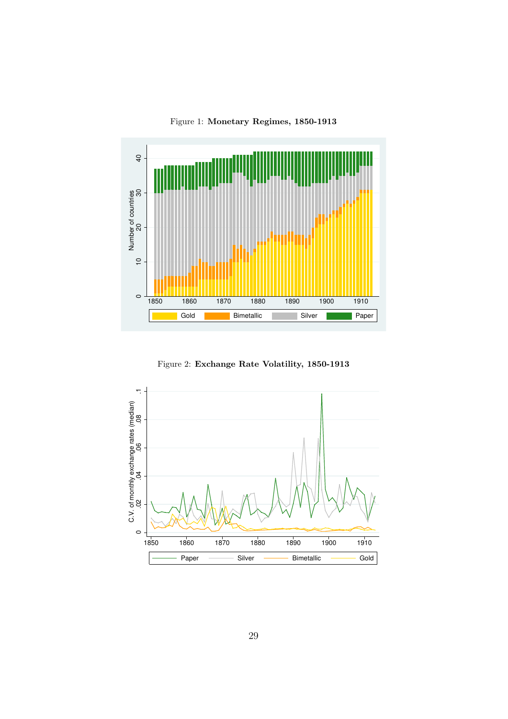<span id="page-28-0"></span>Figure 1: Monetary Regimes, 1850-1913



<span id="page-28-1"></span>Figure 2: Exchange Rate Volatility, 1850-1913